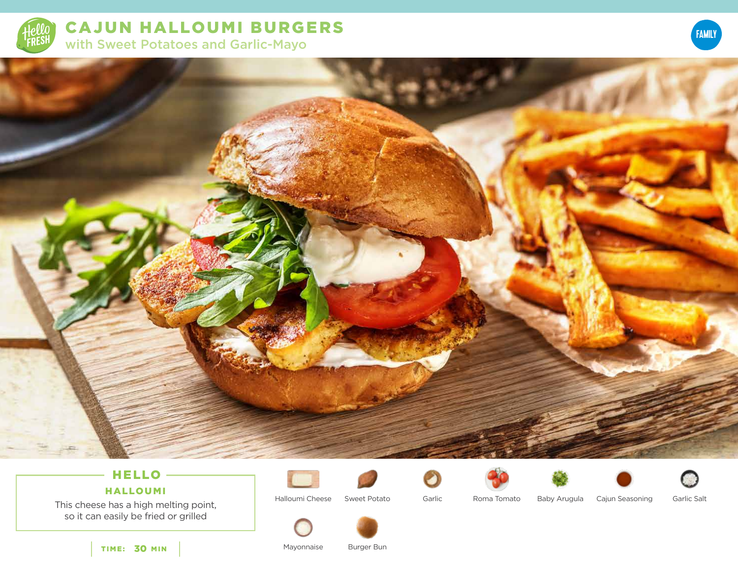

CAJUN HALLOUMI BURGERS with Sweet Potatoes and Garlic-Mayo



# HELLO

HALLOUMI

This cheese has a high melting point, so it can easily be fried or grilled









Halloumi Cheese

Sweet Potato Garlic Roma Tomato

Baby Arugula Cajun Seasoning Garlic Salt

**FAMILY** 



TIME: 30 MIN

Mayonnaise

Burger Bun